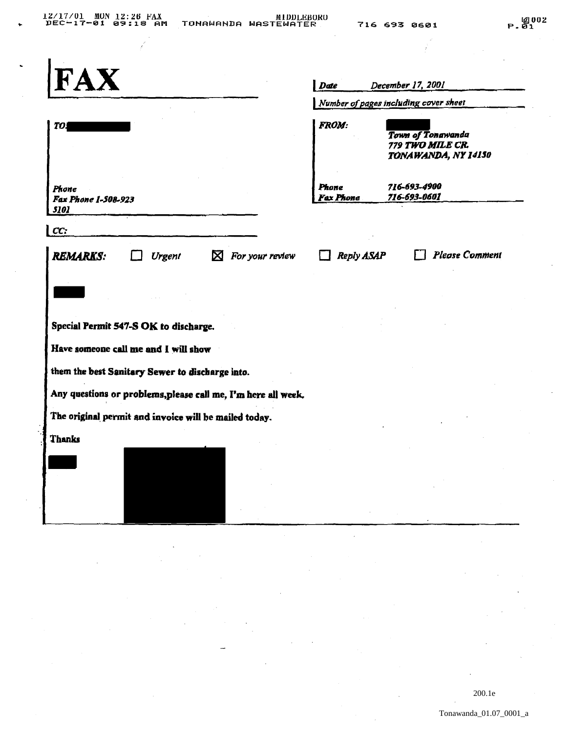| <b>FAX</b>                                                    | Date                                  | December 17, 2001                                            |
|---------------------------------------------------------------|---------------------------------------|--------------------------------------------------------------|
|                                                               | Number of pages including cover sheet |                                                              |
| <b>TO.</b>                                                    | <b>FROM:</b>                          | Town of Tongwanda<br>779 TWO MILE CR.<br>TONAWANDA, NY 14150 |
| Phone<br>Fax Phone 1-508-923<br>5101                          | <b>Phone</b><br>Fax Phone             | 716-693-4900<br>716-693-0601                                 |
| CC:                                                           |                                       |                                                              |
| <b>REMARKS:</b><br>$\boxtimes$ For your review<br>Urgent      | Reply ASAP                            | <b>Please Comment</b>                                        |
|                                                               |                                       |                                                              |
|                                                               |                                       |                                                              |
| Special Permit 547-S OK to discharge.                         |                                       |                                                              |
| Have someone call me and I will show                          |                                       |                                                              |
| them the best Sanitary Sewer to discharge into.               |                                       |                                                              |
| Any questions or problems, please call me, I'm here all week. |                                       |                                                              |
| The original permit and invoice will be mailed today.         |                                       |                                                              |
| Thanks                                                        |                                       |                                                              |
|                                                               |                                       |                                                              |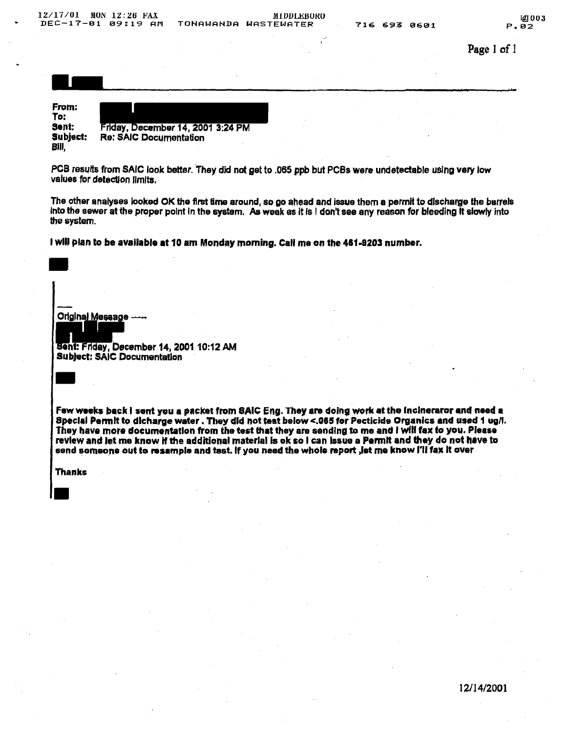| 12/17/01<br>$DEC-17-01$                    | MON<br>12:26 FAX<br>09:19<br>AM | TONAWANDA                         | <b>MIDDLEBORO</b><br><b>WASTEWATER</b> | 716 693 0601 | <b>LAI003</b><br>P.02 |
|--------------------------------------------|---------------------------------|-----------------------------------|----------------------------------------|--------------|-----------------------|
|                                            |                                 |                                   |                                        |              | Page 1 of 1           |
|                                            |                                 |                                   |                                        |              |                       |
| From:<br>To:<br>Sent:<br>Subject:<br>Bill, | <b>Re: SAIC Documentation</b>   | Friday, December 14, 2001 3:24 PM |                                        |              |                       |

values for detection limits.

The other analyses looked OK the first time around, so go ahead and issue them a permit to discharge the barrels into the sewer at the proper point in the system. As weak as it is I don't see any reason for bleeding it slowly into the system.

I will plan to be available at 10 am Monday morning. Call me on the 461-9203 number.

Original Message ---

sent: Friday, December 14,200110:12 AM Subject: SAIC Documentation

Few weeks back I sent you a packet from SAIC Eng. They are doing work at the inclneraror and need a Special Permit to dicharge water. They did not teat below <.065 for Pecticide Organics and used 1 ug/l. They have more documentation from the test that they are sending to me and I will fax to you. Please review and let me know if the additional material is ok so I can issue a Permit and they do not have to send someone out to resample and tast. If you need the whole report , let me know I'll fax it over

Thanks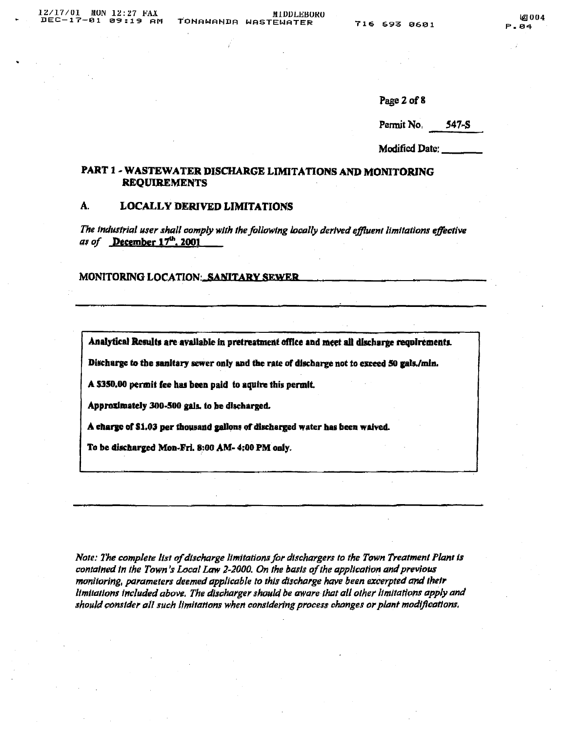Page 2 of 8

| Permit No. | $547-S$ |
|------------|---------|
|            |         |

Modified Date:

# PART 1 - WASTEWATER DISCHARGE LIMITATIONS AND MONITORING **REQUIREMENTS**

#### A. **LOCALLY DERIVED LIMITATIONS**

The industrial user shall comply with the following locally derived effluent limitations effective as of December 17th, 2001

**MONITORING LOCATION: SANITARY SEWER** 

Analytical Results are available in pretreatment office and meet all discharge requirements.

Discharge to the sanitary sewer only and the rate of discharge not to exceed 50 gals./min.

A \$350.00 permit fee has been paid to aquire this permit.

Approximately 300-500 gals, to be discharged.

A charge of \$1.03 per thousand gallons of discharged water has been waived.

To be discharged Mon-Fri. 8:00 AM- 4:00 PM only.

Note: The complete list of discharge limitations for dischargers to the Town Treatment Plant is contained in the Town's Local Law 2-2000. On the basis of the application and previous monitoring, parameters deemed applicable to this discharge have been excerpted and their limitations included above. The discharger should be aware that all other limitations apply and should consider all such limitations when considering process changes or plant modifications.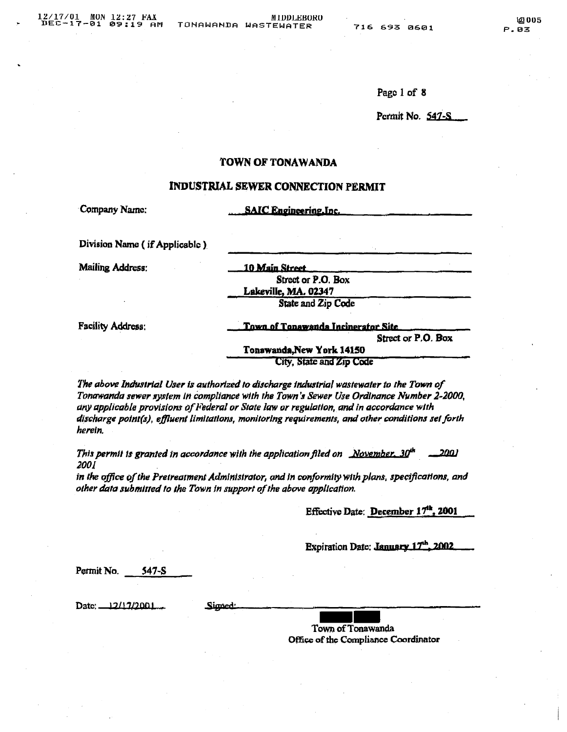Page 1 of 8

Permit No. 547-S

# TOWN OF TONAWANDA

# INDUSTRIAL SEWER CONNECTION PERMIT

| Company Name:                 | <b>SAIC Engineering Inc.</b>       |
|-------------------------------|------------------------------------|
| Division Name (if Applicable) |                                    |
| <b>Mailing Address:</b>       | 10 Main Street                     |
|                               | Street or P.O. Box                 |
|                               | Lakeville, MA. 02347               |
|                               | State and Zip Code                 |
| Facility Address.             | Town of Tonawanda Incinerator Site |
|                               | Street or P.O. Box                 |
|                               | Teneprovide New Vell, 141EB        |

t ouem City, State and Zip Code

The above Industrial User is authorized to discharge industrial wastewater to the Town of Tonawanda sewer system in compliance with the Town's Sewer Use Ordinance Number 2-2000, any applicable provisions of Federal or State law or regulation, and in accordance with discharge point(s), effluent limitations, monitoring requirements, and other conditions set forth herein.

This permit is granted in accordance with the application filed on November,  $30<sup>th</sup>$ <u>נומב.</u> 2001

in the office of the Pretreatment Administrator, and in conformity with plans, specifications, and other data submitted to the Town in support of the above application.

Effective Date: December 17<sup>th</sup>, 2001

Expiration Date: January 17th, 2002

Permit No.  $547-S$ 

Date:  $12/17/2001$ 

Signed

Town of Tonawanda Office of the Compliance Coordinator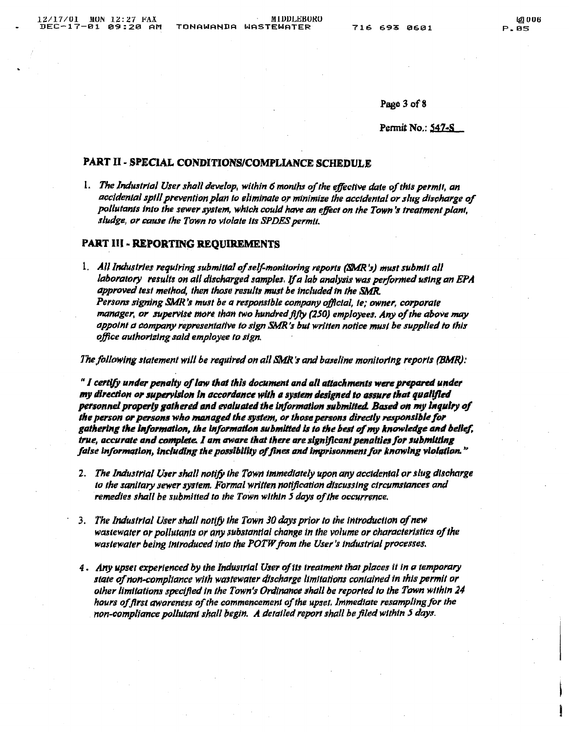Page 3 of 8

Permit No.: 547-S

# PART II - SPECIAL CONDITIONS/COMPLIANCE SCHEDULE

1. The Industrial User shall develop, within 6 months of the effective date of this permit, an accidental spill prevention plan to eliminate or minimize the accidental or slug discharge of pollutants into the sewer system, which could have an effect on the Town's treatment plant, sludge, or cause the Town to violate its SPDES permit.

## **PART III - REPORTING REOUIREMENTS**

1. All Industries requiring submittal of self-monitoring reports (SMR's) must submit all laboratory results on all discharged samples. If a lab analysis was performed using an EPA approved test method, then those results must be included in the SMR. Persons signing SMR's must be a responsible company official, ie; owner, corporate manager, or supervise more than two hundred fifty (250) employees. Any of the above may appoint a company representative to sign SMR's but written notice must be supplied to this office authorizing said employee to sign.

The following statement will be required on all SMR's and baseline monitoring reports (BMR):

"I certify under penalty of law that this document and all attachments were prepared under my direction or supervision in accordance with a system designed to assure that qualified personnel properly gathered and evaluated the information submitted. Based on my inquiry of the person or persons who managed the system, or those persons directly responsible for gathering the information, the information submitted is to the best of my knowledge and belief, true, accurate and complete. I am aware that there are significant penalties for submitting false information, including the possibility of fines and imprisonment for knowing violation."

- 2. The Industrial User shall notify the Town immediately upon any accidental or slug discharge to the sanitary sewer system. Formal written notification discussing circumstances and remedies shall be submitted to the Town within 5 days of the occurrence.
- 3. The Industrial User shall notify the Town 30 days prior to the introduction of new wasiewater or pollutants or any substantial change in the volume or characteristics of the wastewater being introduced into the POTW from the User's industrial processes.
- 4. Any upset experienced by the Industrial User of its treatment that places it in a temporary state of non-compliance with wastewater discharge limitations contained in this permit or other limitations specified in the Town's Ordinance shall be reported to the Town within 24 hours of first awareness of the commencement of the upset. Immediate resampling for the non-compliance pollutant shall begin. A detailed report shall be filed within 5 days.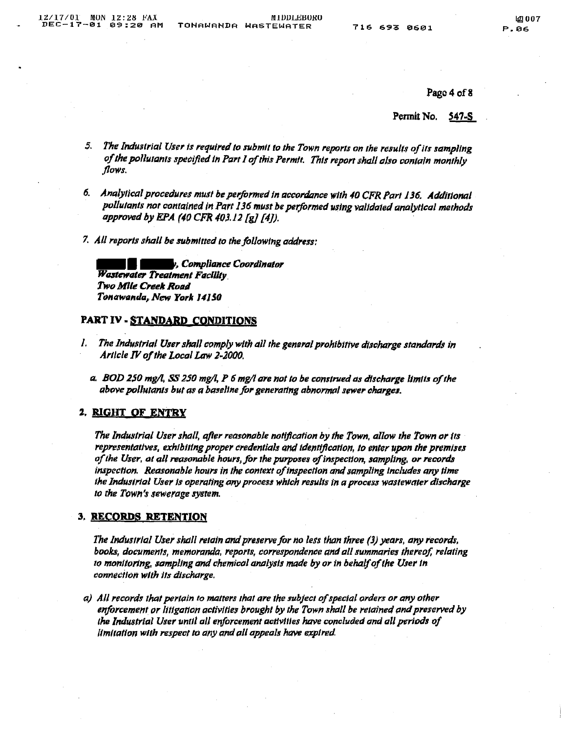Page 4 of 8

Permit No. <u>547-S</u>

- The Industrial User is required to submit to the Town reports on the results of its sampling  $5.$ of the polluianis specified in Part I of this Permit. This report shall also contain monthly flows.
- 6. Analytical procedures must be performed in accordance with 40 CFR Part 136. Additional pollutants not contained in Part 136 must be performed using validated analytical methods approved by EPA (40 CFR 403.12 [g] [4]).
- 7. All reports shall be submitted to the following address:

, Compliance Coordinator Wastewater Treatment Facility Two Mile Creek Road Tonawanda, New York 14150

# PART IV - STANDARD CONDITIONS

- The Industrial User shall comply with all the general prohibitive discharge standards in I. Article IV of the Local Law 2-2000.
	- a. BOD 250 mg/l, SS 250 mg/l, P 6 mg/l are not to be construed as discharge limits of the above pollutants but as a baseline for generating abnormal sewer charges.

# 2. RIGHT OF ENTRY

The Industrial User shall, after reasonable notification by the Town, allow the Town or its representatives, exhibiting proper credentials and identification, to enter upon the premises of the User, at all reasonable hours, for the purposes of inspection, sampling, or records inspection. Reasonable hours in the context of inspection and sampling includes any time the Industrial User is operating any process which results in a process wastewater discharge to the Town's sewerage system.

# 3. RECORDS RETENTION

The Industrial User shall retain and preserve for no less than three (3) years, any records, books, documents, memoranda, reports, correspondence and all summaries thereof, relating to monitoring, sampling and chemical analysis made by or in behalf of the User in connection with its discharge.

a) All records that pertain to matters that are the subject of special orders or any other enforcement or litigation activities brought by the Town shall be retained and preserved by the Industrial User until all enforcement activities have concluded and all periods of limitation with respect to any and all appeals have expired.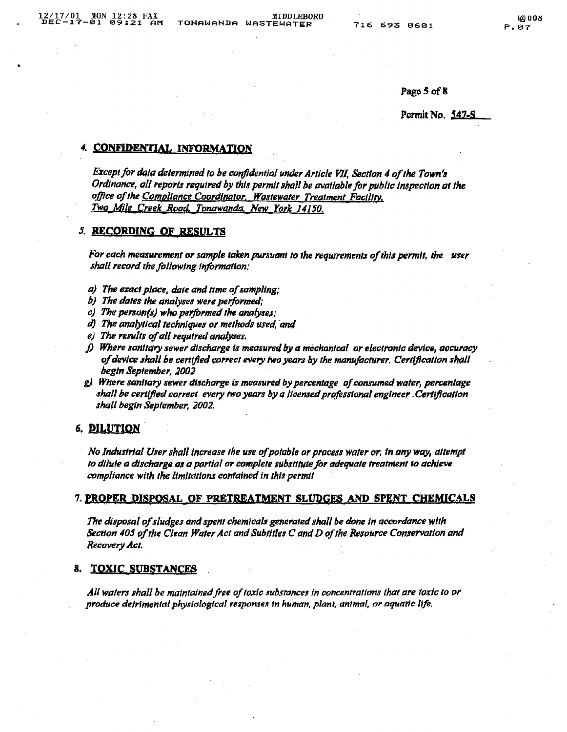Page 5 of 8

## Permit No. 547-S

## 4. CONFIDENTIAL INFORMATION

Except for data determined to be confidential under Article VII, Section 4 of the Town's Ordinance, all reports required by this permit shall be available for public inspection at the office of the Compliance Coordinator. Wastewater Treatment Facility. Two Mile Creek Road, Tonawanda, New York 14150.

## **5. RECORDING OF RESULTS**

For each measurement or sample taken pursuant to the requirements of this permit, the user shall record the following information:

- a) The exact place, date and time of sampling;
- b) The dates the analyses were performed;
- c) The person(s) who performed the analyses;
- d) The analytical techniques or methods used, and
- e) The results of all required analyses.
- f) Where sanitary sewer discharge is measured by a mechanical or electronic device, accuracy of device shall be certified correct every two years by the manufacturer. Certification shall begin September, 2002
- g) Where sanitary sewer discharge is measured by percentage of consumed water, percentage shall be certified correct every two years by a licensed professional engineer .Certification shall begin September, 2002.

# 6. DILUTION

No Industrial User shall increase the use of potable or process water or, in any way, attempt to dilute a discharge as a partial or complete substitute for adequate treatment to achieve compliance with the limitations contained in this permit

### 7. PROPER DISPOSAL OF PRETREATMENT SLUDGES AND SPENT CHEMICALS

The disposal of sludges and spent chemicals generated shall be done in accordance with Section 405 of the Clean Water Act and Subtitles C and D of the Resource Conservation and Recovery Act.

#### **TOXIC SUBSTANCES** 8.

All waters shall be maintained free of toxic substances in concentrations that are toxic to or produce detrimental physiological responses in human, plant, animal, or aquatic life.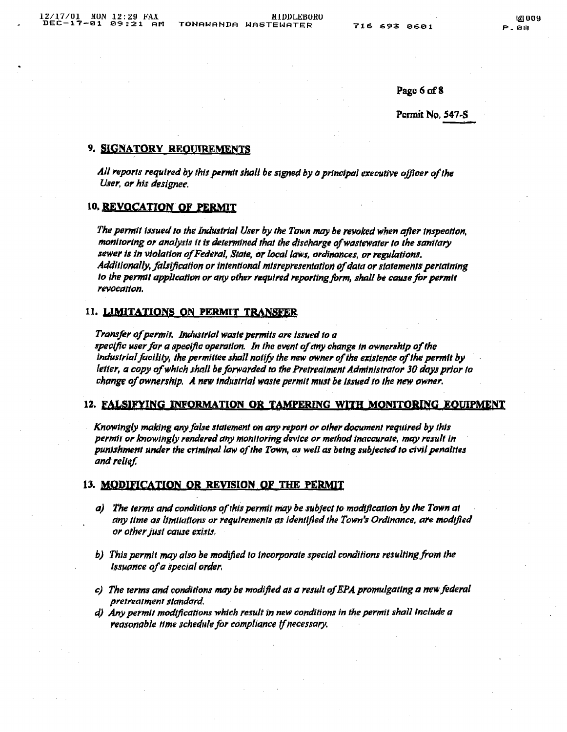Page 6 of 8

Permit No. 547-S

## 9. SIGNATORY REQUIREMENTS

All reports required by this permit shall be signed by a principal executive officer of the User, or his designee.

# 10. REVOCATION OF PERMIT

The permit issued to the Industrial User by the Town may be revoked when after inspection, monitoring or analysis it is determined that the discharge of wastewater to the sanitary sewer is in violation of Federal, State, or local laws, ordinances, or regulations. Additionally, falsification or intentional misrepresentation of data or statements pertaining to the permit application or any other required reporting form, shall be cause for permit revocation.

## 11. LIMITATIONS ON PERMIT TRANSFER

Transfer of permit. Industrial waste permits are issued to a specific user for a specific operation. In the event of any change in ownership of the industrial facility, the permittee shall notify the new owner of the existence of the permit by letter, a copy of which shall be forwarded to the Pretreatment Administrator 30 days prior to change of ownership. A new industrial waste permit must be issued to the new owner.

### 12. FALSIFYING INFORMATION OR TAMPERING WITH MONITORING EQUIPMENT

Knowingly making any false statement on any report or other document required by this permit or knowingly rendered any monitoring device or method inaccurate, may result in punishment under the criminal law of the Town, as well as being subjected to civil penalites and relief.

## 13. MODIFICATION OR REVISION OF THE PERMIT

- a) The terms and conditions of this permit may be subject to modification by the Town at any lime as limilations or regulrements as identified the Town's Ordinance, are modified or other just cause exists,
- b) This permit may also be modified to incorporate special conditions resulting from the Issuance of a special order.
- c) The terms and conditions may be modified as a result of EPA promulgating a new federal pretreatment standard.
- d) Any permit modifications which result in new conditions in the permit shall include a reasonable time schedule for compliance if necessary.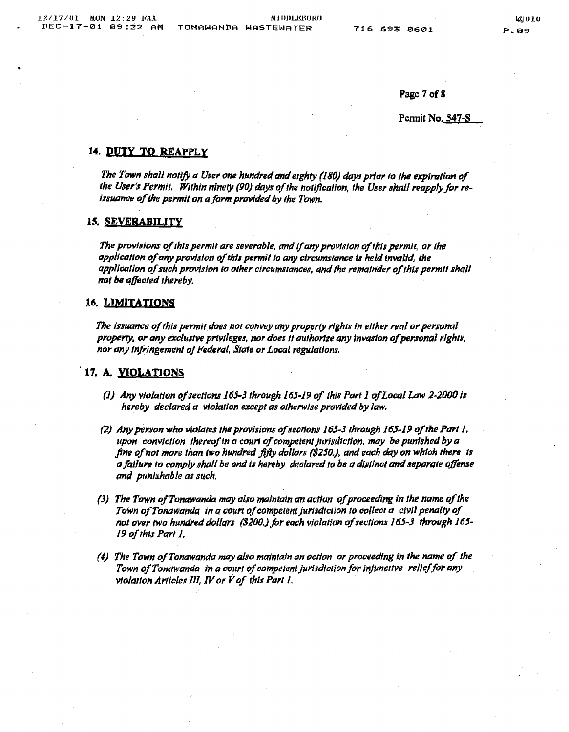Page 7 of 8

Permit No. 547-S

## 14. DUTY TO REAPPLY

The Town shall notify a User one hundred and eighty (180) days prior to the expiration of the User's Permit. Within ninety (90) days of the notification, the User shall reapply for reissuance of the permit on a form provided by the Town.

### 15. SEVERABILITY

The provisions of this permit are severable, and if any provision of this permit, or the application of any provision of this permit to any circumstance is held invalid, the application of such provision to other circumstances, and the remainder of this permit shall not be affected thereby.

# 16. LIMITATIONS

The issuance of this permit does not convey any property rights in either real or personal property, or any exclusive privileges, nor does it authorize any invasion of personal rights, nor any infringement of Federal, State or Local regulations.

## 17. A. VIOLATIONS

- (1) Any violation of sections 165-3 through 165-19 of this Part 1 of Local Law 2-2000 is hereby declared a violation except as otherwise provided by law.
- (2) Any person who violates the provisions of sections 165-3 through 165-19 of the Part 1, upon conviction thereof in a court of competent jurisdiction, may be punished by a fine of not more than two hundred fifty dollars (\$250.), and each day on which there is a failure to comply shall be and is hereby declared to be a distinct and separate offense and punishable as such.
- (3) The Town of Tonawanda may also maintain an action of proceeding in the name of the Town of Tonawanda in a court of competent jurisdiction to callect a civil penalty of not over two hundred dollars (\$200.) for each violation of sections 165-3 through 165-19 of this Part 1.
- (4) The Town of Tonawanda may also maintain an action or proceeding in the name of the Town of Tonawanda in a court of competent jurisdiction for injunctive relief for any violation Articles III, IV or V of this Part 1.